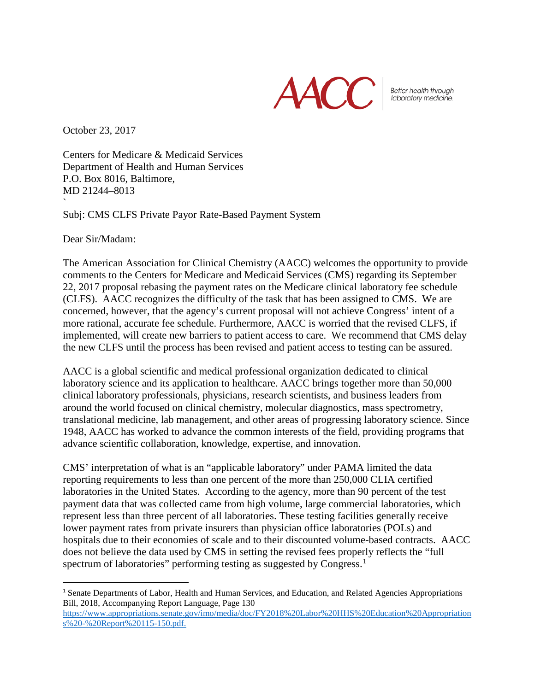

Better health through laboratory medicine.

October 23, 2017

Centers for Medicare & Medicaid Services Department of Health and Human Services P.O. Box 8016, Baltimore, MD 21244–8013 `

Subj: CMS CLFS Private Payor Rate-Based Payment System

Dear Sir/Madam:

The American Association for Clinical Chemistry (AACC) welcomes the opportunity to provide comments to the Centers for Medicare and Medicaid Services (CMS) regarding its September 22, 2017 proposal rebasing the payment rates on the Medicare clinical laboratory fee schedule (CLFS). AACC recognizes the difficulty of the task that has been assigned to CMS. We are concerned, however, that the agency's current proposal will not achieve Congress' intent of a more rational, accurate fee schedule. Furthermore, AACC is worried that the revised CLFS, if implemented, will create new barriers to patient access to care. We recommend that CMS delay the new CLFS until the process has been revised and patient access to testing can be assured.

AACC is a global scientific and medical professional organization dedicated to clinical laboratory science and its application to healthcare. AACC brings together more than 50,000 clinical laboratory professionals, physicians, research scientists, and business leaders from around the world focused on clinical chemistry, molecular diagnostics, mass spectrometry, translational medicine, lab management, and other areas of progressing laboratory science. Since 1948, AACC has worked to advance the common interests of the field, providing programs that advance scientific collaboration, knowledge, expertise, and innovation.

CMS' interpretation of what is an "applicable laboratory" under PAMA limited the data reporting requirements to less than one percent of the more than 250,000 CLIA certified laboratories in the United States. According to the agency, more than 90 percent of the test payment data that was collected came from high volume, large commercial laboratories, which represent less than three percent of all laboratories. These testing facilities generally receive lower payment rates from private insurers than physician office laboratories (POLs) and hospitals due to their economies of scale and to their discounted volume-based contracts. AACC does not believe the data used by CMS in setting the revised fees properly reflects the "full spectrum of laboratories" performing testing as suggested by Congress.<sup>[1](#page-0-0)</sup>

<span id="page-0-0"></span> <sup>1</sup> Senate Departments of Labor, Health and Human Services, and Education, and Related Agencies Appropriations Bill, 2018, Accompanying Report Language, Page 130

[https://www.appropriations.senate.gov/imo/media/doc/FY2018%20Labor%20HHS%20Education%20Appropriation](https://www.appropriations.senate.gov/imo/media/doc/FY2018%20Labor%20HHS%20Education%20Appropriations%20-%20Report%20115-150.pdf) [s%20-%20Report%20115-150.pdf.](https://www.appropriations.senate.gov/imo/media/doc/FY2018%20Labor%20HHS%20Education%20Appropriations%20-%20Report%20115-150.pdf)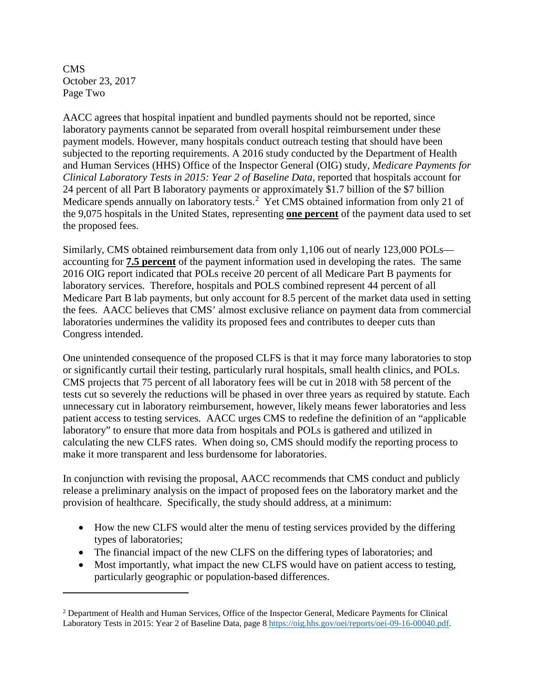CMS October 23, 2017 Page Two

l

AACC agrees that hospital inpatient and bundled payments should not be reported, since laboratory payments cannot be separated from overall hospital reimbursement under these payment models. However, many hospitals conduct outreach testing that should have been subjected to the reporting requirements. A 2016 study conducted by the Department of Health and Human Services (HHS) Office of the Inspector General (OIG) study, *Medicare Payments for Clinical Laboratory Tests in 2015: Year 2 of Baseline Data, reported that hospitals account for* 24 percent of all Part B laboratory payments or approximately \$1.7 billion of the \$7 billion Medicare spends annually on laboratory tests.<sup>[2](#page-1-0)</sup> Yet CMS obtained information from only 21 of the 9,075 hospitals in the United States, representing **one percent** of the payment data used to set the proposed fees.

Similarly, CMS obtained reimbursement data from only 1,106 out of nearly 123,000 POLs accounting for **7.5 percent** of the payment information used in developing the rates. The same 2016 OIG report indicated that POLs receive 20 percent of all Medicare Part B payments for laboratory services. Therefore, hospitals and POLS combined represent 44 percent of all Medicare Part B lab payments, but only account for 8.5 percent of the market data used in setting the fees. AACC believes that CMS' almost exclusive reliance on payment data from commercial laboratories undermines the validity its proposed fees and contributes to deeper cuts than Congress intended.

One unintended consequence of the proposed CLFS is that it may force many laboratories to stop or significantly curtail their testing, particularly rural hospitals, small health clinics, and POLs. CMS projects that 75 percent of all laboratory fees will be cut in 2018 with 58 percent of the tests cut so severely the reductions will be phased in over three years as required by statute. Each unnecessary cut in laboratory reimbursement, however, likely means fewer laboratories and less patient access to testing services. AACC urges CMS to redefine the definition of an "applicable laboratory" to ensure that more data from hospitals and POLs is gathered and utilized in calculating the new CLFS rates. When doing so, CMS should modify the reporting process to make it more transparent and less burdensome for laboratories.

In conjunction with revising the proposal, AACC recommends that CMS conduct and publicly release a preliminary analysis on the impact of proposed fees on the laboratory market and the provision of healthcare. Specifically, the study should address, at a minimum:

- How the new CLFS would alter the menu of testing services provided by the differing types of laboratories;
- The financial impact of the new CLFS on the differing types of laboratories; and
- Most importantly, what impact the new CLFS would have on patient access to testing, particularly geographic or population-based differences.

<span id="page-1-0"></span><sup>&</sup>lt;sup>2</sup> Department of Health and Human Services, Office of the Inspector General, Medicare Payments for Clinical Laboratory Tests in 2015: Year 2 of Baseline Data, page 8 [https://oig.hhs.gov/oei/reports/oei-09-16-00040.pdf.](https://oig.hhs.gov/oei/reports/oei-09-16-00040.pdf)